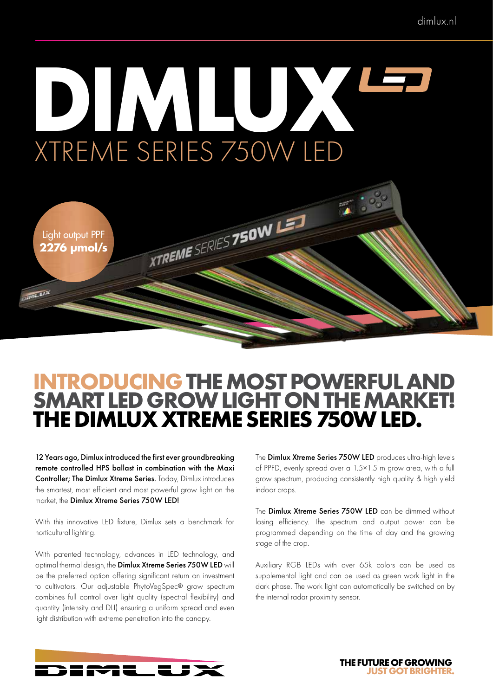# **DIMLUX** XTREME SERIES 750W LED



### **INTRODUCING THE MOST POWERFUL AND SMART LED GROW LIGHT ON THE MARKET! THE DIMLUX XTREME SERIES 750W LED.**

12 Years ago, Dimlux introduced the first ever groundbreaking remote controlled HPS ballast in combination with the Maxi Controller; The Dimlux Xtreme Series. Today, Dimlux introduces the smartest, most efficient and most powerful grow light on the market, the Dimlux Xtreme Series 750W LED!

With this innovative LED fixture, Dimlux sets a benchmark for horticultural lighting.

With patented technology, advances in LED technology, and optimal thermal design, the Dimlux Xtreme Series 750W LED will be the preferred option offering significant return on investment to cultivators. Our adjustable PhytoVegSpec® grow spectrum combines full control over light quality (spectral flexibility) and quantity (intensity and DLI) ensuring a uniform spread and even light distribution with extreme penetration into the canopy.

The **Dimlux Xtreme Series 750W LED** produces ultra-high levels of PPFD, evenly spread over a 1.5×1.5 m grow area, with a full grow spectrum, producing consistently high quality & high yield indoor crops.

The Dimlux Xtreme Series 750W LED can be dimmed without losing efficiency. The spectrum and output power can be programmed depending on the time of day and the growing stage of the crop.

Auxiliary RGB LEDs with over 65k colors can be used as supplemental light and can be used as green work light in the dark phase. The work light can automatically be switched on by the internal radar proximity sensor.



**THE FUTURE OF GROWING JUST GOT BRIGHTER.**